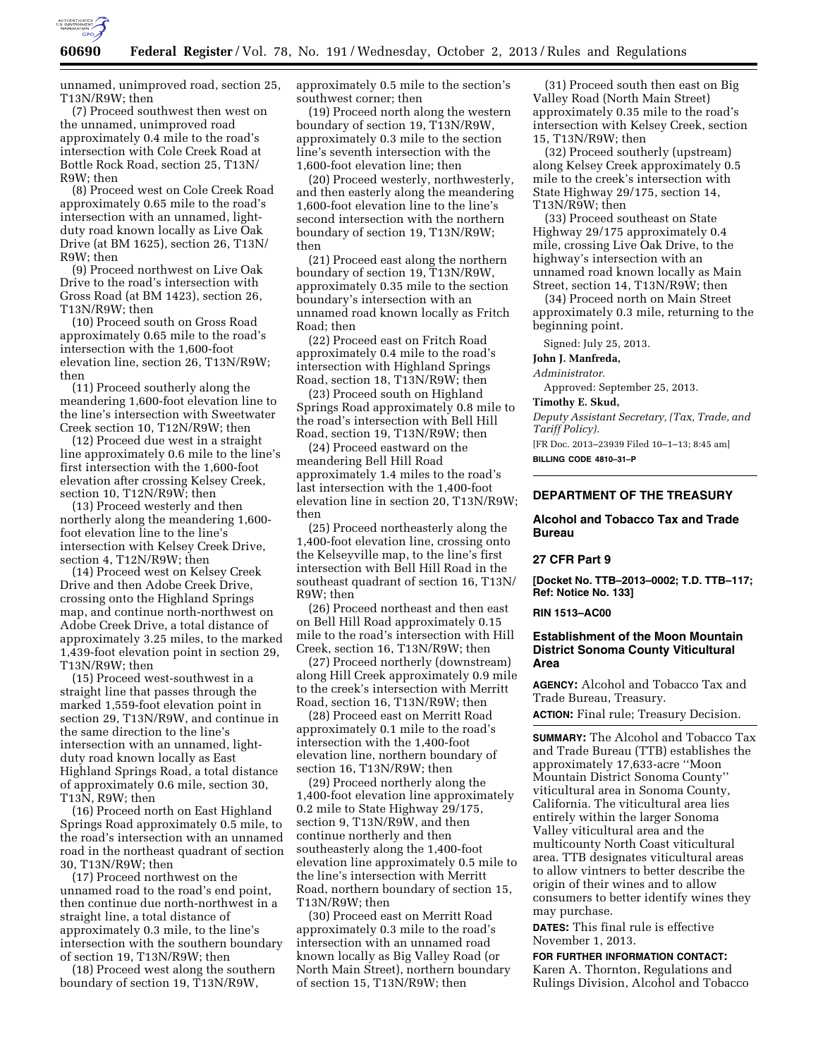

unnamed, unimproved road, section 25, T13N/R9W; then

(7) Proceed southwest then west on the unnamed, unimproved road approximately 0.4 mile to the road's intersection with Cole Creek Road at Bottle Rock Road, section 25, T13N/ R9W; then

(8) Proceed west on Cole Creek Road approximately 0.65 mile to the road's intersection with an unnamed, lightduty road known locally as Live Oak Drive (at BM 1625), section 26, T13N/ R9W; then

(9) Proceed northwest on Live Oak Drive to the road's intersection with Gross Road (at BM 1423), section 26, T13N/R9W; then

(10) Proceed south on Gross Road approximately 0.65 mile to the road's intersection with the 1,600-foot elevation line, section 26, T13N/R9W; then

(11) Proceed southerly along the meandering 1,600-foot elevation line to the line's intersection with Sweetwater Creek section 10, T12N/R9W; then

(12) Proceed due west in a straight line approximately 0.6 mile to the line's first intersection with the 1,600-foot elevation after crossing Kelsey Creek, section 10, T12N/R9W; then

(13) Proceed westerly and then northerly along the meandering 1,600 foot elevation line to the line's intersection with Kelsey Creek Drive, section 4, T12N/R9W; then

(14) Proceed west on Kelsey Creek Drive and then Adobe Creek Drive, crossing onto the Highland Springs map, and continue north-northwest on Adobe Creek Drive, a total distance of approximately 3.25 miles, to the marked 1,439-foot elevation point in section 29, T13N/R9W; then

(15) Proceed west-southwest in a straight line that passes through the marked 1,559-foot elevation point in section 29, T13N/R9W, and continue in the same direction to the line's intersection with an unnamed, lightduty road known locally as East Highland Springs Road, a total distance of approximately 0.6 mile, section 30, T13N, R9W; then

(16) Proceed north on East Highland Springs Road approximately 0.5 mile, to the road's intersection with an unnamed road in the northeast quadrant of section 30, T13N/R9W; then

(17) Proceed northwest on the unnamed road to the road's end point, then continue due north-northwest in a straight line, a total distance of approximately 0.3 mile, to the line's intersection with the southern boundary of section 19, T13N/R9W; then

(18) Proceed west along the southern boundary of section 19, T13N/R9W,

approximately 0.5 mile to the section's southwest corner; then

(19) Proceed north along the western boundary of section 19, T13N/R9W, approximately 0.3 mile to the section line's seventh intersection with the 1,600-foot elevation line; then

(20) Proceed westerly, northwesterly, and then easterly along the meandering 1,600-foot elevation line to the line's second intersection with the northern boundary of section 19, T13N/R9W; then

(21) Proceed east along the northern boundary of section 19, T13N/R9W, approximately 0.35 mile to the section boundary's intersection with an unnamed road known locally as Fritch Road; then

(22) Proceed east on Fritch Road approximately 0.4 mile to the road's intersection with Highland Springs Road, section 18, T13N/R9W; then

(23) Proceed south on Highland Springs Road approximately 0.8 mile to the road's intersection with Bell Hill Road, section 19, T13N/R9W; then

(24) Proceed eastward on the meandering Bell Hill Road approximately 1.4 miles to the road's last intersection with the 1,400-foot elevation line in section 20, T13N/R9W; then

(25) Proceed northeasterly along the 1,400-foot elevation line, crossing onto the Kelseyville map, to the line's first intersection with Bell Hill Road in the southeast quadrant of section 16, T13N/ R9W; then

(26) Proceed northeast and then east on Bell Hill Road approximately 0.15 mile to the road's intersection with Hill Creek, section 16, T13N/R9W; then

(27) Proceed northerly (downstream) along Hill Creek approximately 0.9 mile to the creek's intersection with Merritt Road, section 16, T13N/R9W; then

(28) Proceed east on Merritt Road approximately 0.1 mile to the road's intersection with the 1,400-foot elevation line, northern boundary of section 16, T13N/R9W; then

(29) Proceed northerly along the 1,400-foot elevation line approximately 0.2 mile to State Highway 29/175, section 9, T13N/R9W, and then continue northerly and then southeasterly along the 1,400-foot elevation line approximately 0.5 mile to the line's intersection with Merritt Road, northern boundary of section 15, T13N/R9W; then

(30) Proceed east on Merritt Road approximately 0.3 mile to the road's intersection with an unnamed road known locally as Big Valley Road (or North Main Street), northern boundary of section 15, T13N/R9W; then

(31) Proceed south then east on Big Valley Road (North Main Street) approximately 0.35 mile to the road's intersection with Kelsey Creek, section 15, T13N/R9W; then

(32) Proceed southerly (upstream) along Kelsey Creek approximately 0.5 mile to the creek's intersection with State Highway 29/175, section 14, T13N/R9W; then

(33) Proceed southeast on State Highway 29/175 approximately 0.4 mile, crossing Live Oak Drive, to the highway's intersection with an unnamed road known locally as Main Street, section 14, T13N/R9W; then

(34) Proceed north on Main Street approximately 0.3 mile, returning to the beginning point.

Signed: July 25, 2013.

**John J. Manfreda,** 

*Administrator.* 

Approved: September 25, 2013.

### **Timothy E. Skud,**

*Deputy Assistant Secretary, (Tax, Trade, and Tariff Policy).* 

[FR Doc. 2013–23939 Filed 10–1–13; 8:45 am] **BILLING CODE 4810–31–P** 

## **DEPARTMENT OF THE TREASURY**

## **Alcohol and Tobacco Tax and Trade Bureau**

#### **27 CFR Part 9**

**[Docket No. TTB–2013–0002; T.D. TTB–117; Ref: Notice No. 133]** 

#### **RIN 1513–AC00**

### **Establishment of the Moon Mountain District Sonoma County Viticultural Area**

**AGENCY:** Alcohol and Tobacco Tax and Trade Bureau, Treasury. **ACTION:** Final rule; Treasury Decision.

**SUMMARY:** The Alcohol and Tobacco Tax and Trade Bureau (TTB) establishes the approximately 17,633-acre ''Moon Mountain District Sonoma County'' viticultural area in Sonoma County, California. The viticultural area lies entirely within the larger Sonoma Valley viticultural area and the multicounty North Coast viticultural area. TTB designates viticultural areas to allow vintners to better describe the origin of their wines and to allow consumers to better identify wines they may purchase.

**DATES:** This final rule is effective November 1, 2013.

## **FOR FURTHER INFORMATION CONTACT:**  Karen A. Thornton, Regulations and Rulings Division, Alcohol and Tobacco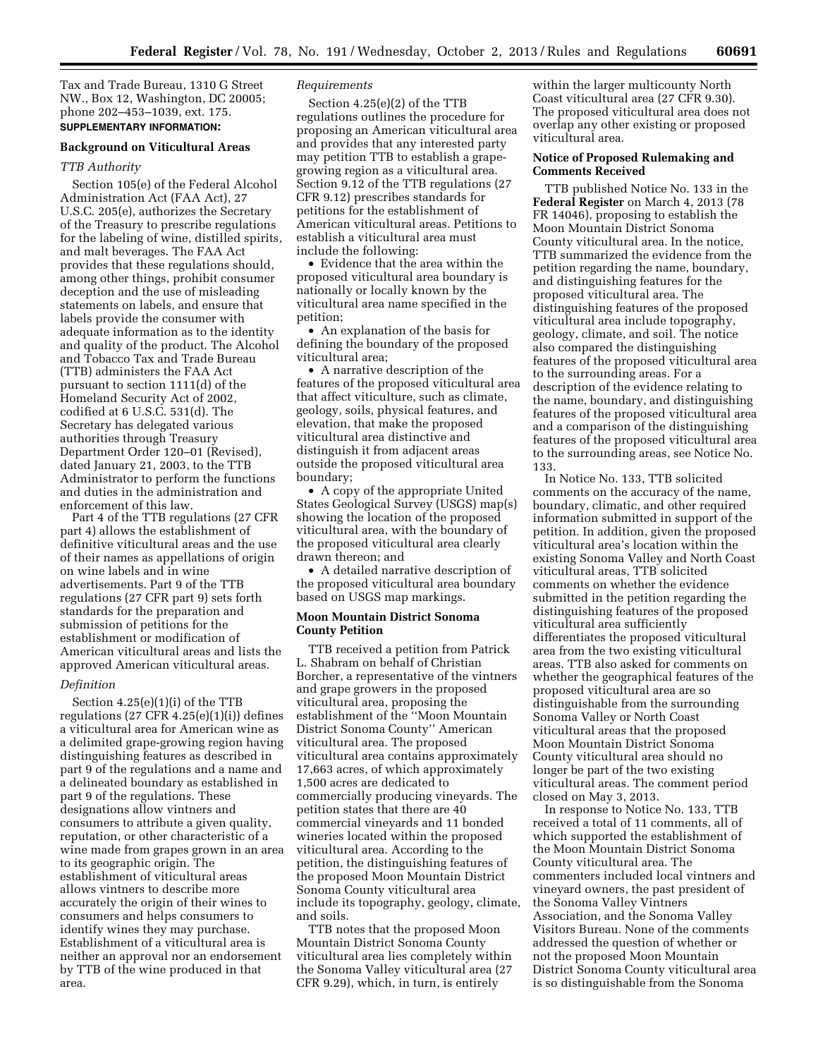Tax and Trade Bureau, 1310 G Street NW., Box 12, Washington, DC 20005; phone 202–453–1039, ext. 175. **SUPPLEMENTARY INFORMATION:** 

#### **Background on Viticultural Areas**

#### *TTB Authority*

Section 105(e) of the Federal Alcohol Administration Act (FAA Act), 27 U.S.C. 205(e), authorizes the Secretary of the Treasury to prescribe regulations for the labeling of wine, distilled spirits, and malt beverages. The FAA Act provides that these regulations should, among other things, prohibit consumer deception and the use of misleading statements on labels, and ensure that labels provide the consumer with adequate information as to the identity and quality of the product. The Alcohol and Tobacco Tax and Trade Bureau (TTB) administers the FAA Act pursuant to section 1111(d) of the Homeland Security Act of 2002, codified at 6 U.S.C. 531(d). The Secretary has delegated various authorities through Treasury Department Order 120–01 (Revised), dated January 21, 2003, to the TTB Administrator to perform the functions and duties in the administration and enforcement of this law.

Part 4 of the TTB regulations (27 CFR part 4) allows the establishment of definitive viticultural areas and the use of their names as appellations of origin on wine labels and in wine advertisements. Part 9 of the TTB regulations (27 CFR part 9) sets forth standards for the preparation and submission of petitions for the establishment or modification of American viticultural areas and lists the approved American viticultural areas.

#### *Definition*

Section 4.25(e)(1)(i) of the TTB regulations (27 CFR 4.25(e)(1)(i)) defines a viticultural area for American wine as a delimited grape-growing region having distinguishing features as described in part 9 of the regulations and a name and a delineated boundary as established in part 9 of the regulations. These designations allow vintners and consumers to attribute a given quality, reputation, or other characteristic of a wine made from grapes grown in an area to its geographic origin. The establishment of viticultural areas allows vintners to describe more accurately the origin of their wines to consumers and helps consumers to identify wines they may purchase. Establishment of a viticultural area is neither an approval nor an endorsement by TTB of the wine produced in that area.

### *Requirements*

Section 4.25(e)(2) of the TTB regulations outlines the procedure for proposing an American viticultural area and provides that any interested party may petition TTB to establish a grapegrowing region as a viticultural area. Section 9.12 of the TTB regulations (27 CFR 9.12) prescribes standards for petitions for the establishment of American viticultural areas. Petitions to establish a viticultural area must include the following:

• Evidence that the area within the proposed viticultural area boundary is nationally or locally known by the viticultural area name specified in the petition;

• An explanation of the basis for defining the boundary of the proposed viticultural area;

• A narrative description of the features of the proposed viticultural area that affect viticulture, such as climate, geology, soils, physical features, and elevation, that make the proposed viticultural area distinctive and distinguish it from adjacent areas outside the proposed viticultural area boundary;

• A copy of the appropriate United States Geological Survey (USGS) map(s) showing the location of the proposed viticultural area, with the boundary of the proposed viticultural area clearly drawn thereon; and

• A detailed narrative description of the proposed viticultural area boundary based on USGS map markings.

### **Moon Mountain District Sonoma County Petition**

TTB received a petition from Patrick L. Shabram on behalf of Christian Borcher, a representative of the vintners and grape growers in the proposed viticultural area, proposing the establishment of the ''Moon Mountain District Sonoma County'' American viticultural area. The proposed viticultural area contains approximately 17,663 acres, of which approximately 1,500 acres are dedicated to commercially producing vineyards. The petition states that there are 40 commercial vineyards and 11 bonded wineries located within the proposed viticultural area. According to the petition, the distinguishing features of the proposed Moon Mountain District Sonoma County viticultural area include its topography, geology, climate, and soils.

TTB notes that the proposed Moon Mountain District Sonoma County viticultural area lies completely within the Sonoma Valley viticultural area (27 CFR 9.29), which, in turn, is entirely

within the larger multicounty North Coast viticultural area (27 CFR 9.30). The proposed viticultural area does not overlap any other existing or proposed viticultural area.

### **Notice of Proposed Rulemaking and Comments Received**

TTB published Notice No. 133 in the **Federal Register** on March 4, 2013 (78 FR 14046), proposing to establish the Moon Mountain District Sonoma County viticultural area. In the notice, TTB summarized the evidence from the petition regarding the name, boundary, and distinguishing features for the proposed viticultural area. The distinguishing features of the proposed viticultural area include topography, geology, climate, and soil. The notice also compared the distinguishing features of the proposed viticultural area to the surrounding areas. For a description of the evidence relating to the name, boundary, and distinguishing features of the proposed viticultural area and a comparison of the distinguishing features of the proposed viticultural area to the surrounding areas, see Notice No. 133.

In Notice No. 133, TTB solicited comments on the accuracy of the name, boundary, climatic, and other required information submitted in support of the petition. In addition, given the proposed viticultural area's location within the existing Sonoma Valley and North Coast viticultural areas, TTB solicited comments on whether the evidence submitted in the petition regarding the distinguishing features of the proposed viticultural area sufficiently differentiates the proposed viticultural area from the two existing viticultural areas. TTB also asked for comments on whether the geographical features of the proposed viticultural area are so distinguishable from the surrounding Sonoma Valley or North Coast viticultural areas that the proposed Moon Mountain District Sonoma County viticultural area should no longer be part of the two existing viticultural areas. The comment period closed on May 3, 2013.

In response to Notice No. 133, TTB received a total of 11 comments, all of which supported the establishment of the Moon Mountain District Sonoma County viticultural area. The commenters included local vintners and vineyard owners, the past president of the Sonoma Valley Vintners Association, and the Sonoma Valley Visitors Bureau. None of the comments addressed the question of whether or not the proposed Moon Mountain District Sonoma County viticultural area is so distinguishable from the Sonoma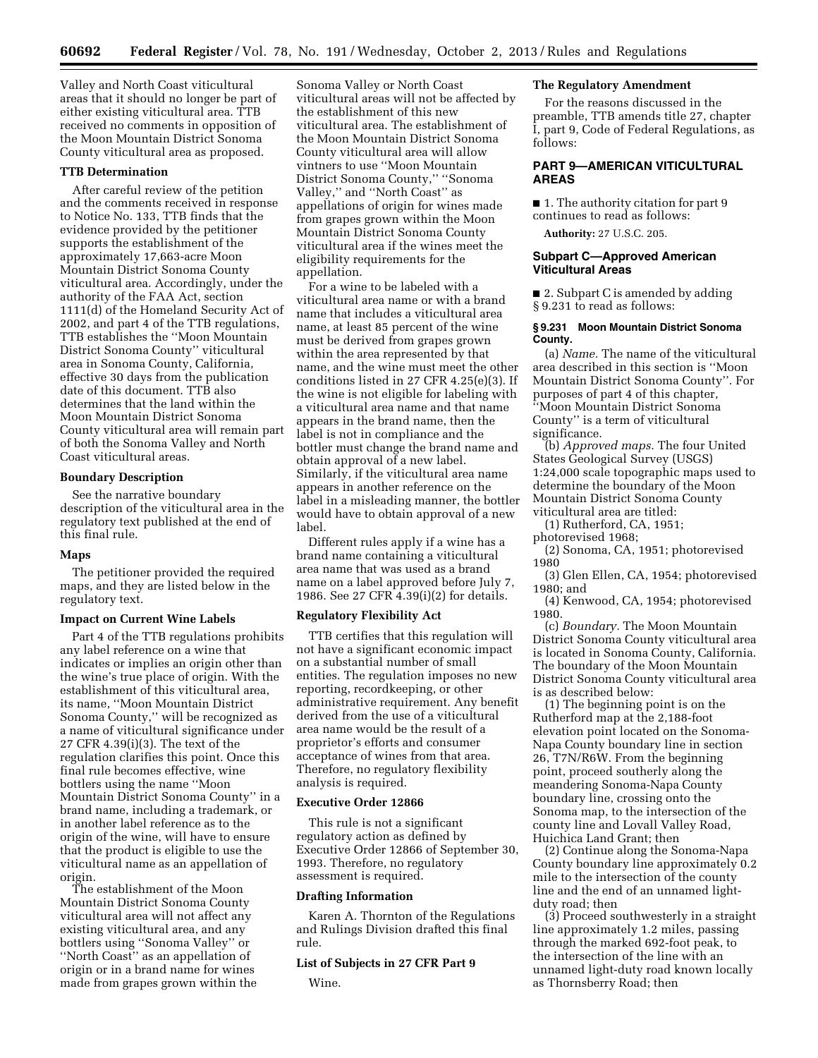Valley and North Coast viticultural areas that it should no longer be part of either existing viticultural area. TTB received no comments in opposition of the Moon Mountain District Sonoma County viticultural area as proposed.

#### **TTB Determination**

After careful review of the petition and the comments received in response to Notice No. 133, TTB finds that the evidence provided by the petitioner supports the establishment of the approximately 17,663-acre Moon Mountain District Sonoma County viticultural area. Accordingly, under the authority of the FAA Act, section 1111(d) of the Homeland Security Act of 2002, and part 4 of the TTB regulations, TTB establishes the ''Moon Mountain District Sonoma County'' viticultural area in Sonoma County, California, effective 30 days from the publication date of this document. TTB also determines that the land within the Moon Mountain District Sonoma County viticultural area will remain part of both the Sonoma Valley and North Coast viticultural areas.

#### **Boundary Description**

See the narrative boundary description of the viticultural area in the regulatory text published at the end of this final rule.

### **Maps**

The petitioner provided the required maps, and they are listed below in the regulatory text.

## **Impact on Current Wine Labels**

Part 4 of the TTB regulations prohibits any label reference on a wine that indicates or implies an origin other than the wine's true place of origin. With the establishment of this viticultural area, its name, ''Moon Mountain District Sonoma County,'' will be recognized as a name of viticultural significance under 27 CFR 4.39(i)(3). The text of the regulation clarifies this point. Once this final rule becomes effective, wine bottlers using the name ''Moon Mountain District Sonoma County'' in a brand name, including a trademark, or in another label reference as to the origin of the wine, will have to ensure that the product is eligible to use the viticultural name as an appellation of origin.

The establishment of the Moon Mountain District Sonoma County viticultural area will not affect any existing viticultural area, and any bottlers using ''Sonoma Valley'' or ''North Coast'' as an appellation of origin or in a brand name for wines made from grapes grown within the Sonoma Valley or North Coast viticultural areas will not be affected by the establishment of this new viticultural area. The establishment of the Moon Mountain District Sonoma County viticultural area will allow vintners to use ''Moon Mountain District Sonoma County,'' ''Sonoma Valley,'' and ''North Coast'' as appellations of origin for wines made from grapes grown within the Moon Mountain District Sonoma County viticultural area if the wines meet the eligibility requirements for the appellation.

For a wine to be labeled with a viticultural area name or with a brand name that includes a viticultural area name, at least 85 percent of the wine must be derived from grapes grown within the area represented by that name, and the wine must meet the other conditions listed in 27 CFR 4.25(e)(3). If the wine is not eligible for labeling with a viticultural area name and that name appears in the brand name, then the label is not in compliance and the bottler must change the brand name and obtain approval of a new label. Similarly, if the viticultural area name appears in another reference on the label in a misleading manner, the bottler would have to obtain approval of a new label.

Different rules apply if a wine has a brand name containing a viticultural area name that was used as a brand name on a label approved before July 7, 1986. See 27 CFR 4.39(i)(2) for details.

#### **Regulatory Flexibility Act**

TTB certifies that this regulation will not have a significant economic impact on a substantial number of small entities. The regulation imposes no new reporting, recordkeeping, or other administrative requirement. Any benefit derived from the use of a viticultural area name would be the result of a proprietor's efforts and consumer acceptance of wines from that area. Therefore, no regulatory flexibility analysis is required.

#### **Executive Order 12866**

This rule is not a significant regulatory action as defined by Executive Order 12866 of September 30, 1993. Therefore, no regulatory assessment is required.

#### **Drafting Information**

Karen A. Thornton of the Regulations and Rulings Division drafted this final rule.

#### **List of Subjects in 27 CFR Part 9**

Wine.

#### **The Regulatory Amendment**

For the reasons discussed in the preamble, TTB amends title 27, chapter I, part 9, Code of Federal Regulations, as follows:

## **PART 9—AMERICAN VITICULTURAL AREAS**

■ 1. The authority citation for part 9 continues to read as follows:

**Authority:** 27 U.S.C. 205.

### **Subpart C—Approved American Viticultural Areas**

■ 2. Subpart C is amended by adding § 9.231 to read as follows:

#### **§ 9.231 Moon Mountain District Sonoma County.**

(a) *Name.* The name of the viticultural area described in this section is ''Moon Mountain District Sonoma County''. For purposes of part 4 of this chapter, ''Moon Mountain District Sonoma County'' is a term of viticultural significance.

(b) *Approved maps.* The four United States Geological Survey (USGS) 1:24,000 scale topographic maps used to determine the boundary of the Moon Mountain District Sonoma County viticultural area are titled:

(1) Rutherford, CA, 1951;

photorevised 1968;

(2) Sonoma, CA, 1951; photorevised 1980

(3) Glen Ellen, CA, 1954; photorevised 1980; and

(4) Kenwood, CA, 1954; photorevised 1980.

(c) *Boundary.* The Moon Mountain District Sonoma County viticultural area is located in Sonoma County, California. The boundary of the Moon Mountain District Sonoma County viticultural area is as described below:

(1) The beginning point is on the Rutherford map at the 2,188-foot elevation point located on the Sonoma-Napa County boundary line in section 26, T7N/R6W. From the beginning point, proceed southerly along the meandering Sonoma-Napa County boundary line, crossing onto the Sonoma map, to the intersection of the county line and Lovall Valley Road, Huichica Land Grant; then

(2) Continue along the Sonoma-Napa County boundary line approximately 0.2 mile to the intersection of the county line and the end of an unnamed lightduty road; then

(3) Proceed southwesterly in a straight line approximately 1.2 miles, passing through the marked 692-foot peak, to the intersection of the line with an unnamed light-duty road known locally as Thornsberry Road; then